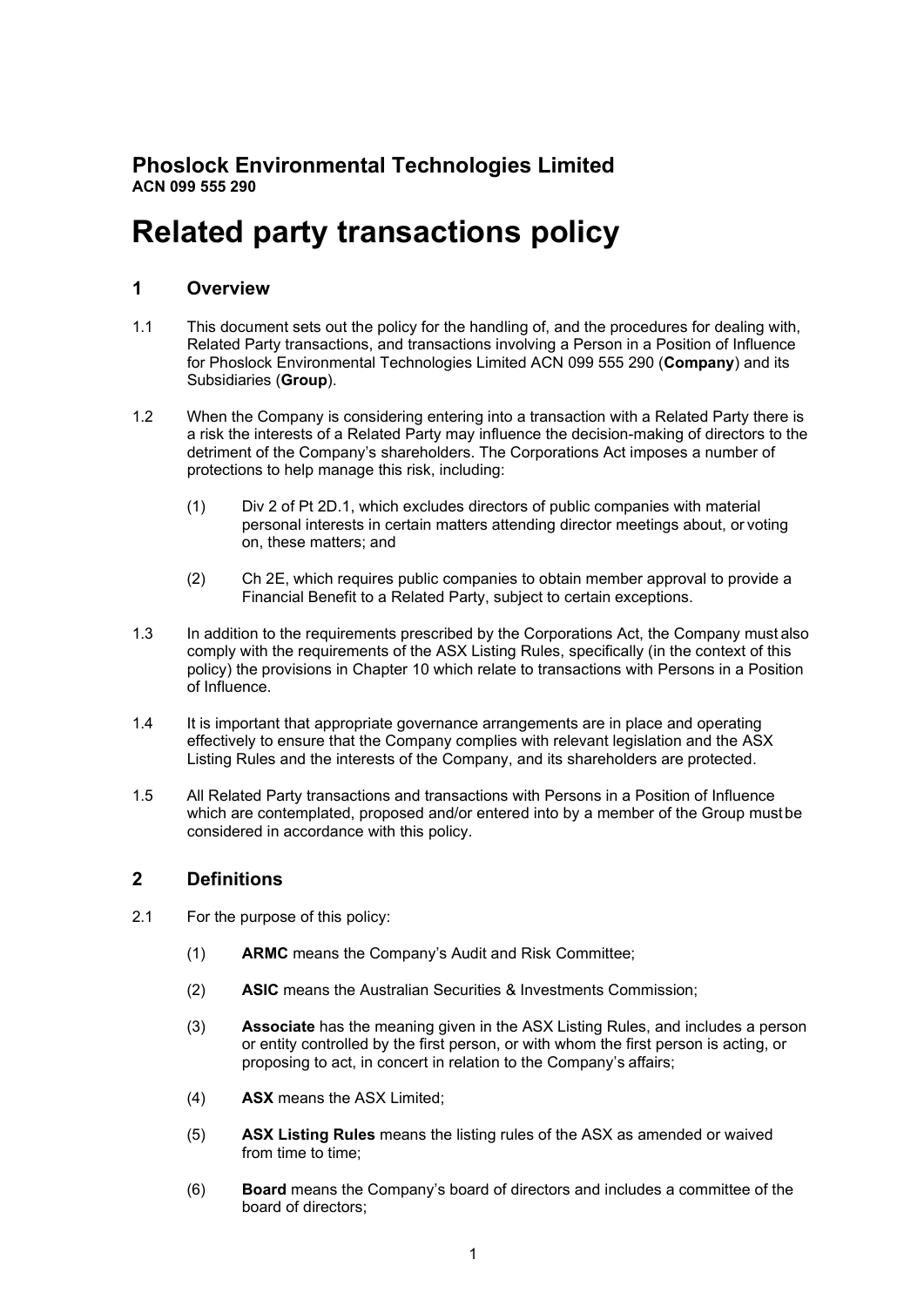## **Phoslock Environmental Technologies Limited ACN 099 555 290**

# **Related party transactions policy**

## **1 Overview**

- 1.1 This document sets out the policy for the handling of, and the procedures for dealing with, Related Party transactions, and transactions involving a Person in a Position of Influence for Phoslock Environmental Technologies Limited ACN 099 555 290 (**Company**) and its Subsidiaries (**Group**).
- 1.2 When the Company is considering entering into a transaction with a Related Party there is a risk the interests of a Related Party may influence the decision-making of directors to the detriment of the Company's shareholders. The Corporations Act imposes a number of protections to help manage this risk, including:
	- (1) Div 2 of Pt 2D.1, which excludes directors of public companies with material personal interests in certain matters attending director meetings about, or voting on, these matters; and
	- (2) Ch 2E, which requires public companies to obtain member approval to provide a Financial Benefit to a Related Party, subject to certain exceptions.
- 1.3 In addition to the requirements prescribed by the Corporations Act, the Company must also comply with the requirements of the ASX Listing Rules, specifically (in the context of this policy) the provisions in Chapter 10 which relate to transactions with Persons in a Position of Influence.
- 1.4 It is important that appropriate governance arrangements are in place and operating effectively to ensure that the Company complies with relevant legislation and the ASX Listing Rules and the interests of the Company, and its shareholders are protected.
- 1.5 All Related Party transactions and transactions with Persons in a Position of Influence which are contemplated, proposed and/or entered into by a member of the Group mustbe considered in accordance with this policy.

## **2 Definitions**

- 2.1 For the purpose of this policy:
	- (1) **ARMC** means the Company's Audit and Risk Committee;
	- (2) **ASIC** means the Australian Securities & Investments Commission;
	- (3) **Associate** has the meaning given in the ASX Listing Rules, and includes a person or entity controlled by the first person, or with whom the first person is acting, or proposing to act, in concert in relation to the Company's affairs;
	- (4) **ASX** means the ASX Limited;
	- (5) **ASX Listing Rules** means the listing rules of the ASX as amended or waived from time to time:
	- (6) **Board** means the Company's board of directors and includes a committee of the board of directors;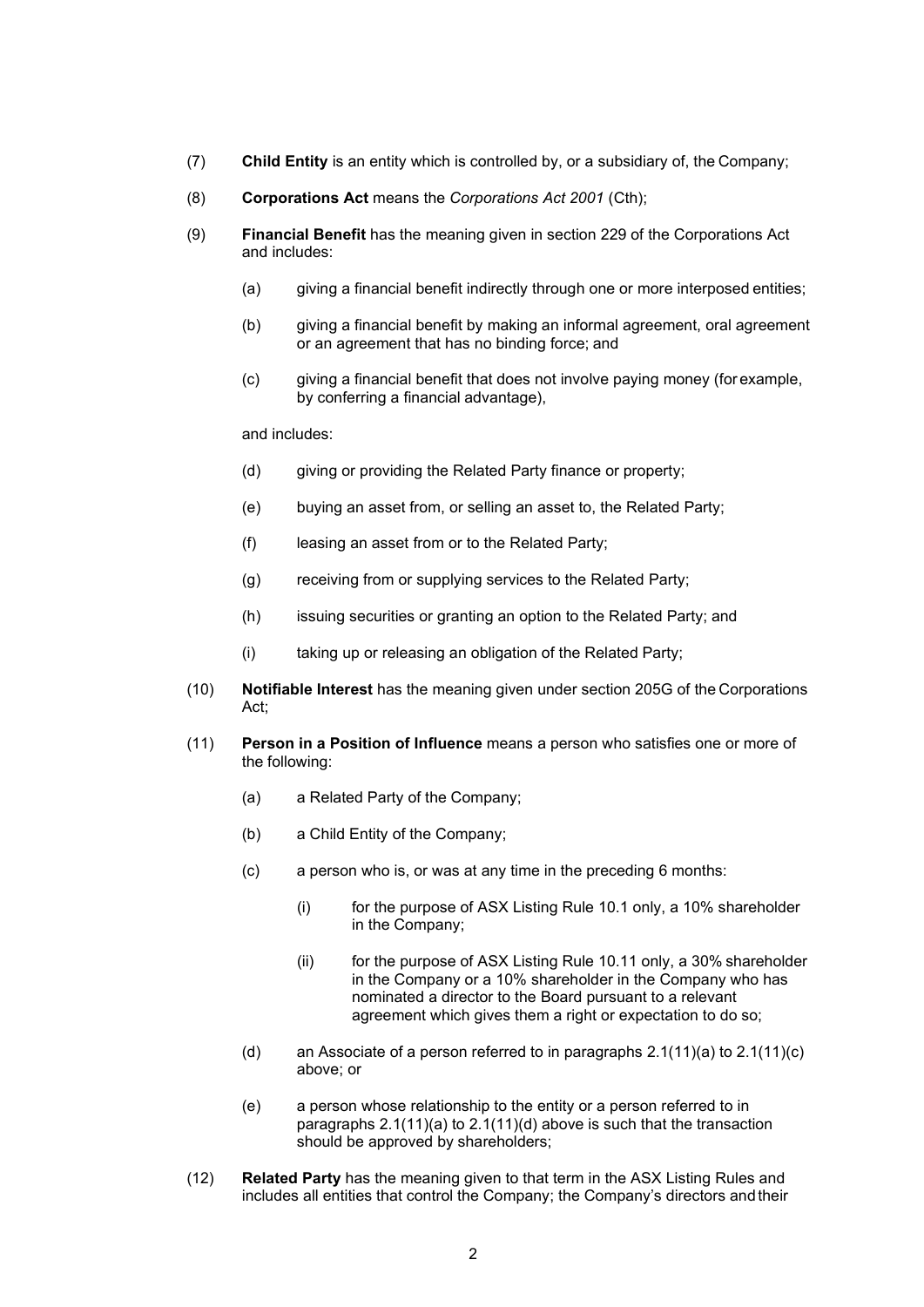- (7) **Child Entity** is an entity which is controlled by, or a subsidiary of, the Company;
- (8) **Corporations Act** means the *Corporations Act 2001* (Cth);
- (9) **Financial Benefit** has the meaning given in section 229 of the Corporations Act and includes:
	- (a) giving a financial benefit indirectly through one or more interposed entities;
	- (b) giving a financial benefit by making an informal agreement, oral agreement or an agreement that has no binding force; and
	- (c) giving a financial benefit that does not involve paying money (for example, by conferring a financial advantage),

and includes:

- (d) giving or providing the Related Party finance or property;
- (e) buying an asset from, or selling an asset to, the Related Party;
- (f) leasing an asset from or to the Related Party;
- (g) receiving from or supplying services to the Related Party;
- (h) issuing securities or granting an option to the Related Party; and
- (i) taking up or releasing an obligation of the Related Party;
- (10) **Notifiable Interest** has the meaning given under section 205G of the Corporations Act;
- <span id="page-1-1"></span><span id="page-1-0"></span>(11) **Person in a Position of Influence** means a person who satisfies one or more of the following:
	- (a) a Related Party of the Company;
	- (b) a Child Entity of the Company;
	- (c) a person who is, or was at any time in the preceding 6 months:
		- (i) for the purpose of ASX Listing Rule 10.1 only, a 10% shareholder in the Company;
		- (ii) for the purpose of ASX Listing Rule 10.11 only, a 30% shareholder in the Company or a 10% shareholder in the Company who has nominated a director to the Board pursuant to a relevant agreement which gives them a right or expectation to do so;
	- (d) an Associate of a person referred to in paragraphs  $2.1(11)(a)$  to  $2.1(11)(c)$ above; or
	- (e) a person whose relationship to the entity or a person referred to in paragraphs [2.1\(11\)\(a\) t](#page-1-0)o [2.1\(11\)\(d\) a](#page-1-2)bove is such that the transaction should be approved by shareholders;
- <span id="page-1-2"></span>(12) **Related Party** has the meaning given to that term in the ASX Listing Rules and includes all entities that control the Company; the Company's directors andtheir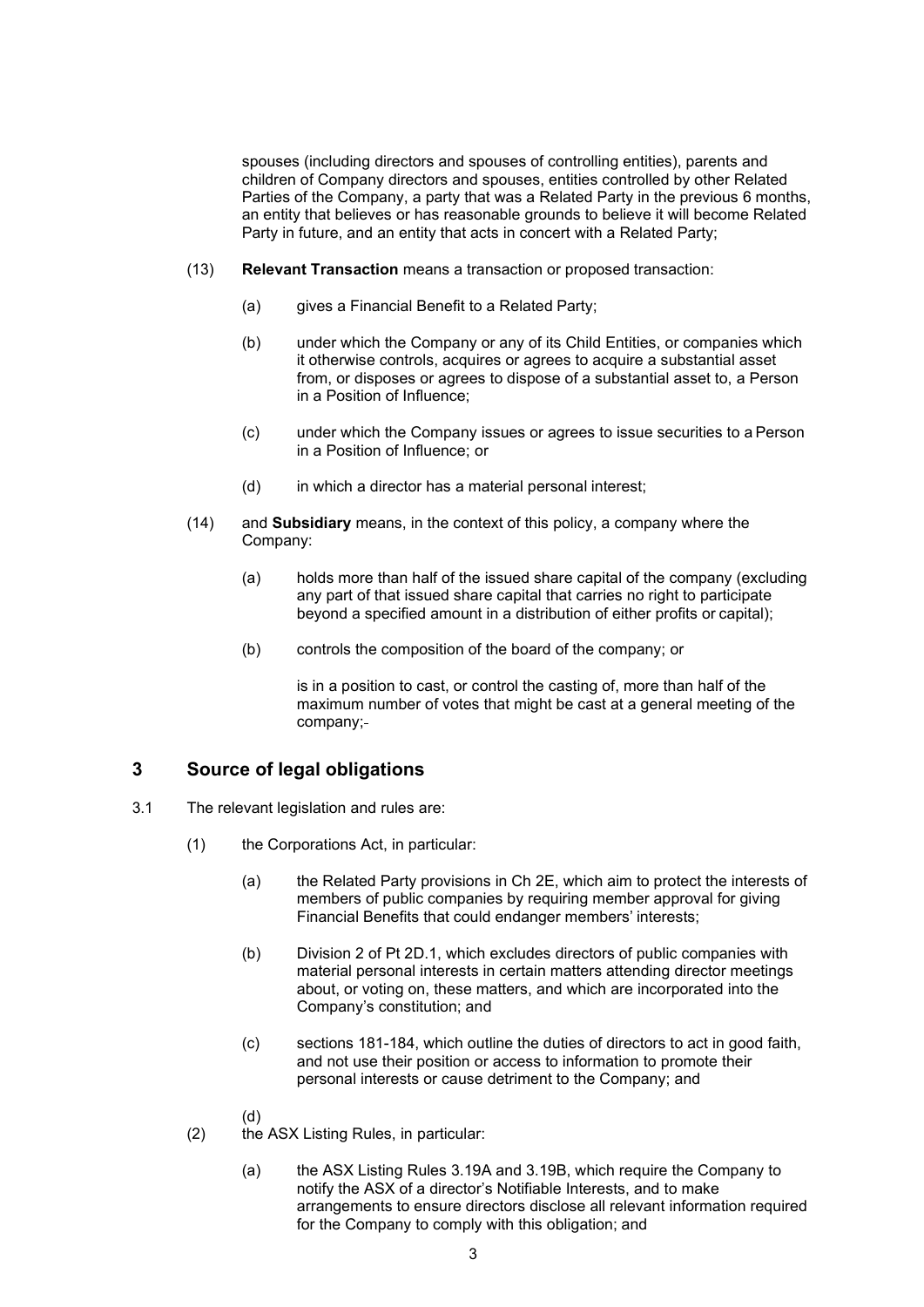spouses (including directors and spouses of controlling entities), parents and children of Company directors and spouses, entities controlled by other Related Parties of the Company, a party that was a Related Party in the previous 6 months, an entity that believes or has reasonable grounds to believe it will become Related Party in future, and an entity that acts in concert with a Related Party;

- (13) **Relevant Transaction** means a transaction or proposed transaction:
	- (a) gives a Financial Benefit to a Related Party;
	- (b) under which the Company or any of its Child Entities, or companies which it otherwise controls, acquires or agrees to acquire a substantial asset from, or disposes or agrees to dispose of a substantial asset to, a Person in a Position of Influence;
	- (c) under which the Company issues or agrees to issue securities to a Person in a Position of Influence; or
	- (d) in which a director has a material personal interest;
- (14) and **Subsidiary** means, in the context of this policy, a company where the Company:
	- (a) holds more than half of the issued share capital of the company (excluding any part of that issued share capital that carries no right to participate beyond a specified amount in a distribution of either profits or capital);
	- (b) controls the composition of the board of the company; or

is in a position to cast, or control the casting of, more than half of the maximum number of votes that might be cast at a general meeting of the company;

## **3 Source of legal obligations**

- 3.1 The relevant legislation and rules are:
	- (1) the Corporations Act, in particular:
		- (a) the Related Party provisions in Ch 2E, which aim to protect the interests of members of public companies by requiring member approval for giving Financial Benefits that could endanger members' interests;
		- (b) Division 2 of Pt 2D.1, which excludes directors of public companies with material personal interests in certain matters attending director meetings about, or voting on, these matters, and which are incorporated into the Company's constitution; and
		- (c) sections 181-184, which outline the duties of directors to act in good faith, and not use their position or access to information to promote their personal interests or cause detriment to the Company; and
		- (d)
	- (2) the ASX Listing Rules, in particular:
		- (a) the ASX Listing Rules 3.19A and 3.19B, which require the Company to notify the ASX of a director's Notifiable Interests, and to make arrangements to ensure directors disclose all relevant information required for the Company to comply with this obligation; and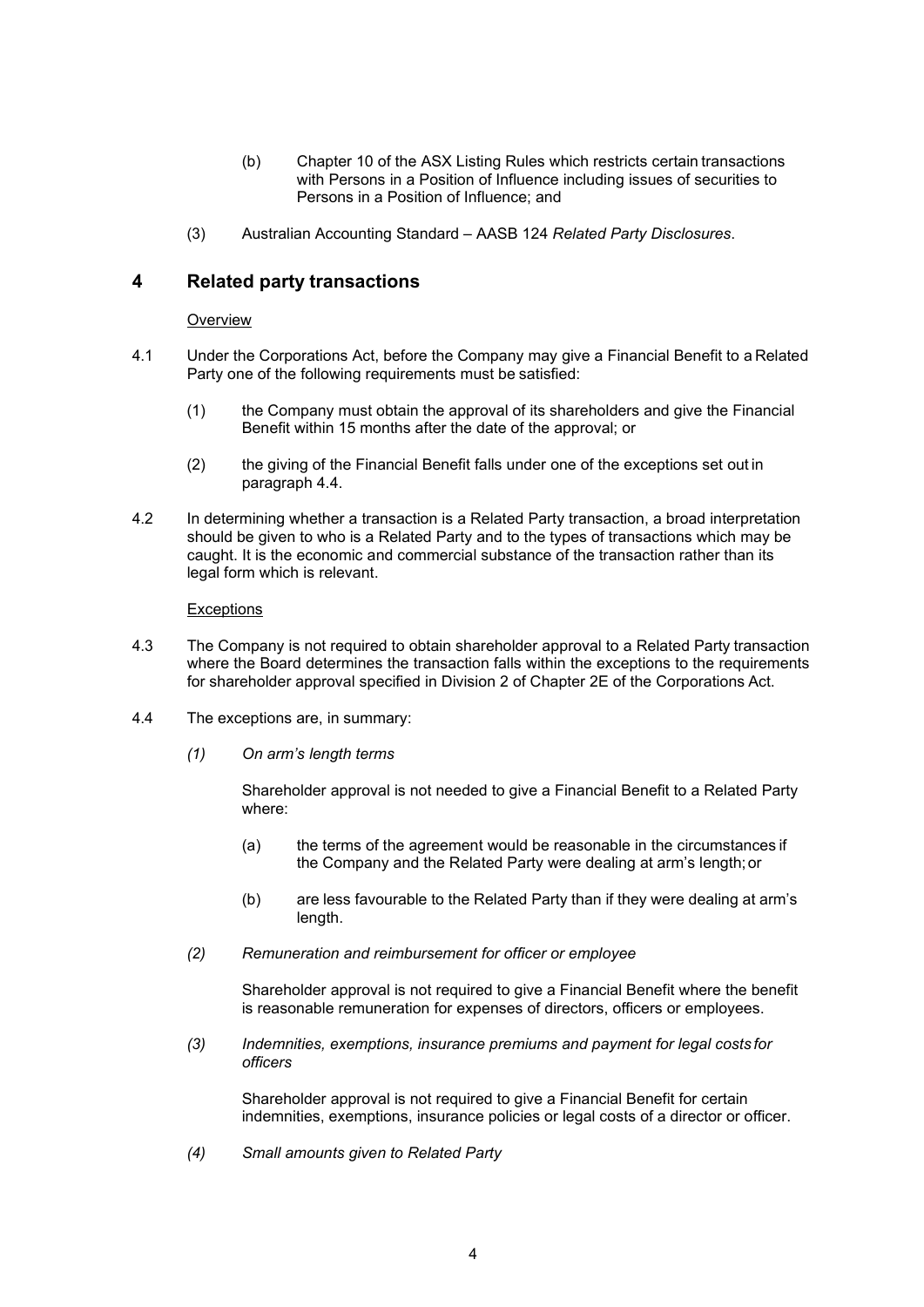- (b) Chapter 10 of the ASX Listing Rules which restricts certain transactions with Persons in a Position of Influence including issues of securities to Persons in a Position of Influence; and
- (3) Australian Accounting Standard AASB 124 *Related Party Disclosures*.

## **4 Related party transactions**

#### **Overview**

- 4.1 Under the Corporations Act, before the Company may give a Financial Benefit to a Related Party one of the following requirements must be satisfied:
	- (1) the Company must obtain the approval of its shareholders and give the Financial Benefit within 15 months after the date of the approval; or
	- (2) the giving of the Financial Benefit falls under one of the exceptions set out in paragraph [4.4.](#page-3-0)
- 4.2 In determining whether a transaction is a Related Party transaction, a broad interpretation should be given to who is a Related Party and to the types of transactions which may be caught. It is the economic and commercial substance of the transaction rather than its legal form which is relevant.

#### **Exceptions**

- 4.3 The Company is not required to obtain shareholder approval to a Related Party transaction where the Board determines the transaction falls within the exceptions to the requirements for shareholder approval specified in Division 2 of Chapter 2E of the Corporations Act.
- <span id="page-3-0"></span>4.4 The exceptions are, in summary:
	- *(1) On arm's length terms*

Shareholder approval is not needed to give a Financial Benefit to a Related Party where:

- (a) the terms of the agreement would be reasonable in the circumstances if the Company and the Related Party were dealing at arm's length;or
- (b) are less favourable to the Related Party than if they were dealing at arm's length.
- *(2) Remuneration and reimbursement for officer or employee*

Shareholder approval is not required to give a Financial Benefit where the benefit is reasonable remuneration for expenses of directors, officers or employees.

*(3) Indemnities, exemptions, insurance premiums and payment for legal costs for officers*

Shareholder approval is not required to give a Financial Benefit for certain indemnities, exemptions, insurance policies or legal costs of a director or officer.

*(4) Small amounts given to Related Party*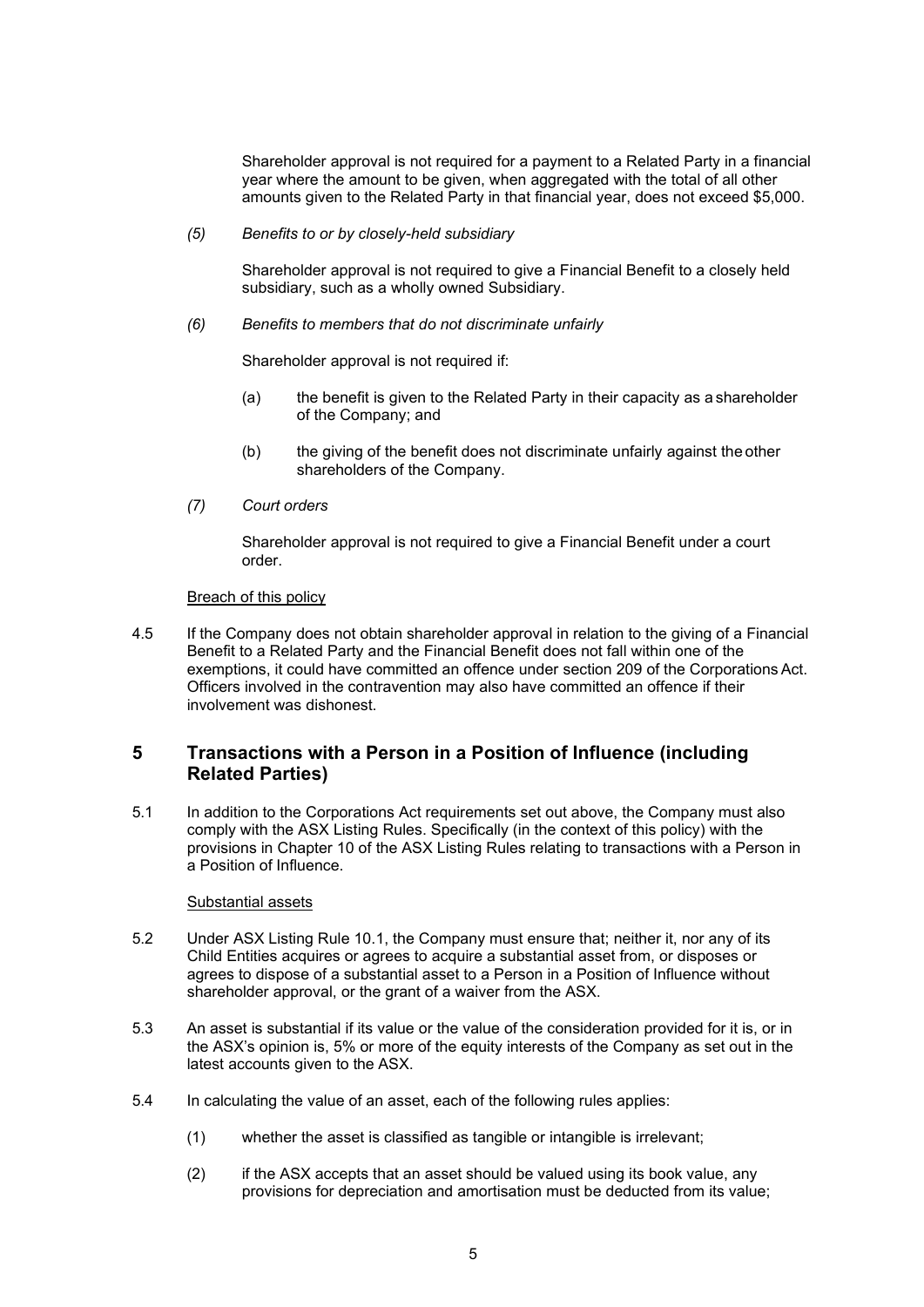Shareholder approval is not required for a payment to a Related Party in a financial year where the amount to be given, when aggregated with the total of all other amounts given to the Related Party in that financial year, does not exceed \$5,000.

*(5) Benefits to or by closely-held subsidiary*

Shareholder approval is not required to give a Financial Benefit to a closely held subsidiary, such as a wholly owned Subsidiary.

*(6) Benefits to members that do not discriminate unfairly*

Shareholder approval is not required if:

- (a) the benefit is given to the Related Party in their capacity as a shareholder of the Company; and
- (b) the giving of the benefit does not discriminate unfairly against the other shareholders of the Company.
- *(7) Court orders*

Shareholder approval is not required to give a Financial Benefit under a court order.

#### Breach of this policy

4.5 If the Company does not obtain shareholder approval in relation to the giving of a Financial Benefit to a Related Party and the Financial Benefit does not fall within one of the exemptions, it could have committed an offence under section 209 of the Corporations Act. Officers involved in the contravention may also have committed an offence if their involvement was dishonest.

## **5 Transactions with a Person in a Position of Influence (including Related Parties)**

5.1 In addition to the Corporations Act requirements set out above, the Company must also comply with the ASX Listing Rules. Specifically (in the context of this policy) with the provisions in Chapter 10 of the ASX Listing Rules relating to transactions with a Person in a Position of Influence.

#### Substantial assets

- 5.2 Under ASX Listing Rule 10.1, the Company must ensure that; neither it, nor any of its Child Entities acquires or agrees to acquire a substantial asset from, or disposes or agrees to dispose of a substantial asset to a Person in a Position of Influence without shareholder approval, or the grant of a waiver from the ASX.
- 5.3 An asset is substantial if its value or the value of the consideration provided for it is, or in the ASX's opinion is, 5% or more of the equity interests of the Company as set out in the latest accounts given to the ASX.
- 5.4 In calculating the value of an asset, each of the following rules applies:
	- (1) whether the asset is classified as tangible or intangible is irrelevant;
	- (2) if the ASX accepts that an asset should be valued using its book value, any provisions for depreciation and amortisation must be deducted from its value;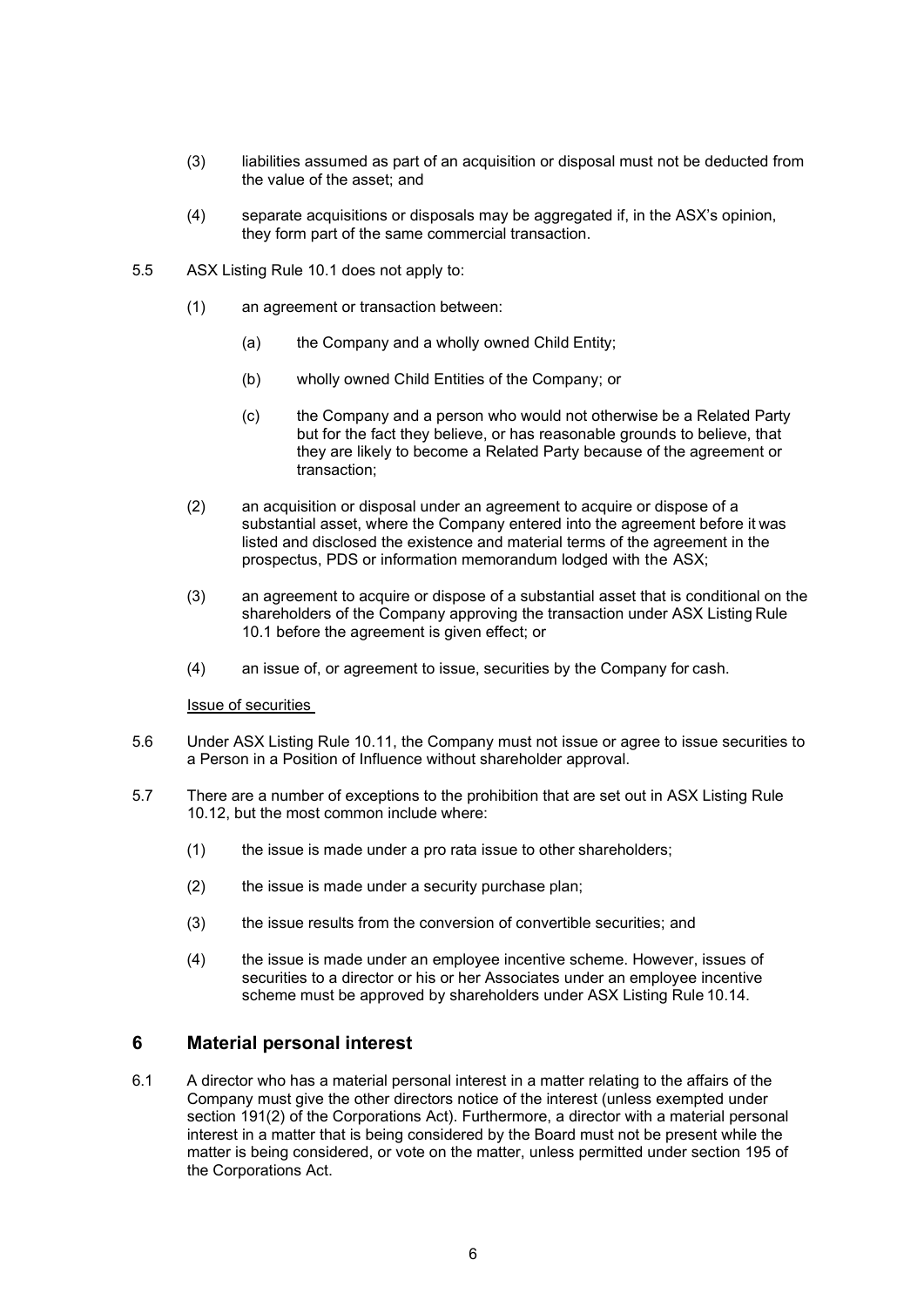- (3) liabilities assumed as part of an acquisition or disposal must not be deducted from the value of the asset; and
- (4) separate acquisitions or disposals may be aggregated if, in the ASX's opinion, they form part of the same commercial transaction.
- 5.5 ASX Listing Rule 10.1 does not apply to:
	- (1) an agreement or transaction between:
		- (a) the Company and a wholly owned Child Entity;
		- (b) wholly owned Child Entities of the Company; or
		- (c) the Company and a person who would not otherwise be a Related Party but for the fact they believe, or has reasonable grounds to believe, that they are likely to become a Related Party because of the agreement or transaction;
	- (2) an acquisition or disposal under an agreement to acquire or dispose of a substantial asset, where the Company entered into the agreement before it was listed and disclosed the existence and material terms of the agreement in the prospectus, PDS or information memorandum lodged with the ASX;
	- (3) an agreement to acquire or dispose of a substantial asset that is conditional on the shareholders of the Company approving the transaction under ASX Listing Rule 10.1 before the agreement is given effect; or
	- (4) an issue of, or agreement to issue, securities by the Company for cash.

Issue of securities

- 5.6 Under ASX Listing Rule 10.11, the Company must not issue or agree to issue securities to a Person in a Position of Influence without shareholder approval.
- 5.7 There are a number of exceptions to the prohibition that are set out in ASX Listing Rule 10.12, but the most common include where:
	- (1) the issue is made under a pro rata issue to other shareholders;
	- (2) the issue is made under a security purchase plan;
	- (3) the issue results from the conversion of convertible securities; and
	- (4) the issue is made under an employee incentive scheme. However, issues of securities to a director or his or her Associates under an employee incentive scheme must be approved by shareholders under ASX Listing Rule 10.14.

## **6 Material personal interest**

<span id="page-5-0"></span>6.1 A director who has a material personal interest in a matter relating to the affairs of the Company must give the other directors notice of the interest (unless exempted under section 191(2) of the Corporations Act). Furthermore, a director with a material personal interest in a matter that is being considered by the Board must not be present while the matter is being considered, or vote on the matter, unless permitted under section 195 of the Corporations Act.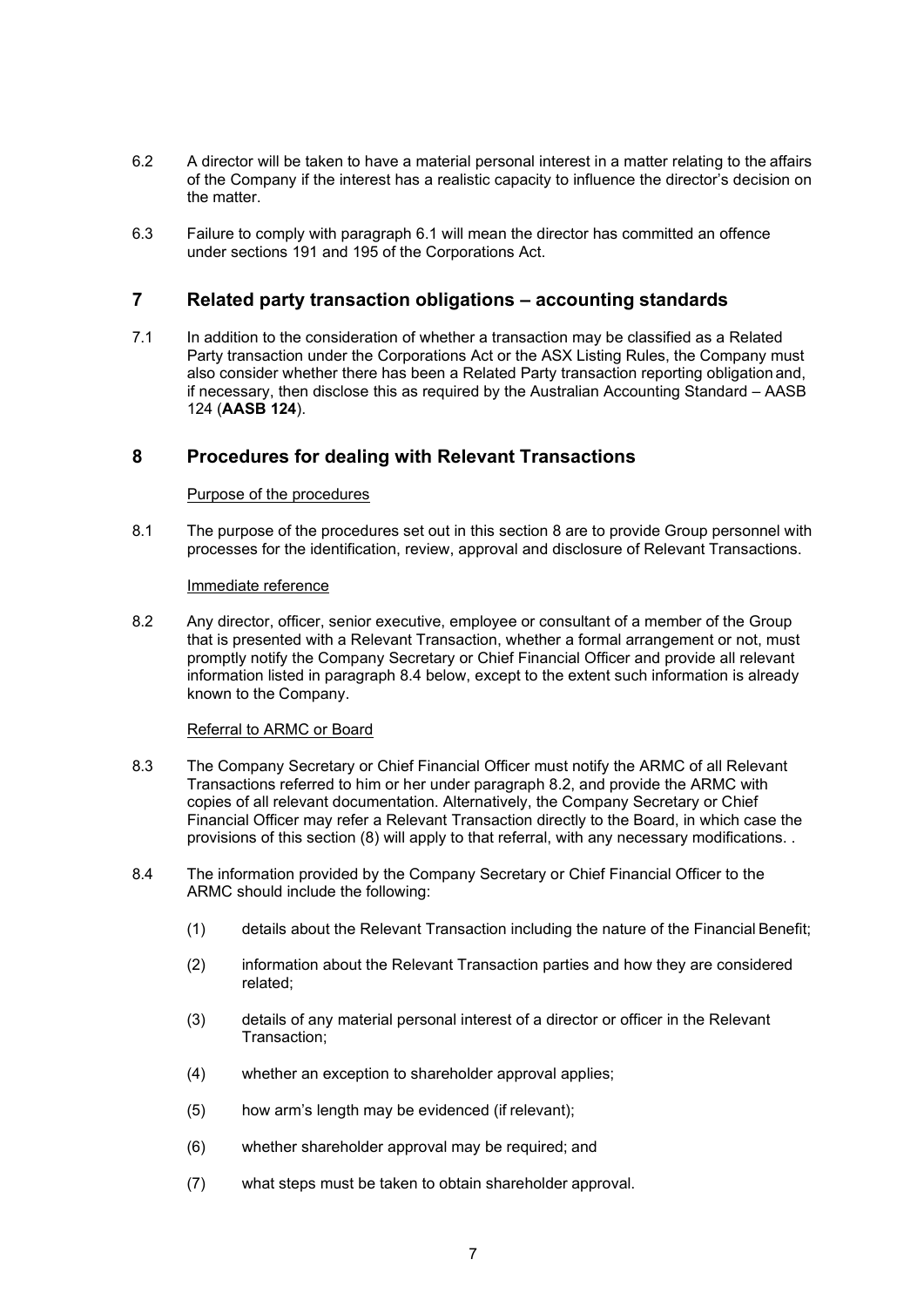- 6.2 A director will be taken to have a material personal interest in a matter relating to the affairs of the Company if the interest has a realistic capacity to influence the director's decision on the matter.
- 6.3 Failure to comply with paragraph [6.1 w](#page-5-0)ill mean the director has committed an offence under sections 191 and 195 of the Corporations Act.

## **7 Related party transaction obligations – accounting standards**

7.1 In addition to the consideration of whether a transaction may be classified as a Related Party transaction under the Corporations Act or the ASX Listing Rules, the Company must also consider whether there has been a Related Party transaction reporting obligation and, if necessary, then disclose this as required by the Australian Accounting Standard – AASB 124 (**AASB 124**).

## <span id="page-6-0"></span>**8 Procedures for dealing with Relevant Transactions**

#### Purpose of the procedures

8.1 The purpose of the procedures set out in this section [8](#page-6-0) are to provide Group personnel with processes for the identification, review, approval and disclosure of Relevant Transactions.

#### Immediate reference

<span id="page-6-1"></span>8.2 Any director, officer, senior executive, employee or consultant of a member of the Group that is presented with a Relevant Transaction, whether a formal arrangement or not, must promptly notify the Company Secretary or Chief Financial Officer and provide all relevant information listed in paragraph 8.4 below, except to the extent such information is already known to the Company.

### Referral to ARMC or Board

- 8.3 The Company Secretary or Chief Financial Officer must notify the ARMC of all Relevant Transactions referred to him or her under paragraph [8.2,](#page-6-1) and provide the ARMC with copies of all relevant documentation. Alternatively, the Company Secretary or Chief Financial Officer may refer a Relevant Transaction directly to the Board, in which case the provisions of this section (8) will apply to that referral, with any necessary modifications. .
- 8.4 The information provided by the Company Secretary or Chief Financial Officer to the ARMC should include the following:
	- (1) details about the Relevant Transaction including the nature of the Financial Benefit;
	- (2) information about the Relevant Transaction parties and how they are considered related;
	- (3) details of any material personal interest of a director or officer in the Relevant Transaction;
	- (4) whether an exception to shareholder approval applies;
	- (5) how arm's length may be evidenced (if relevant);
	- (6) whether shareholder approval may be required; and
	- (7) what steps must be taken to obtain shareholder approval.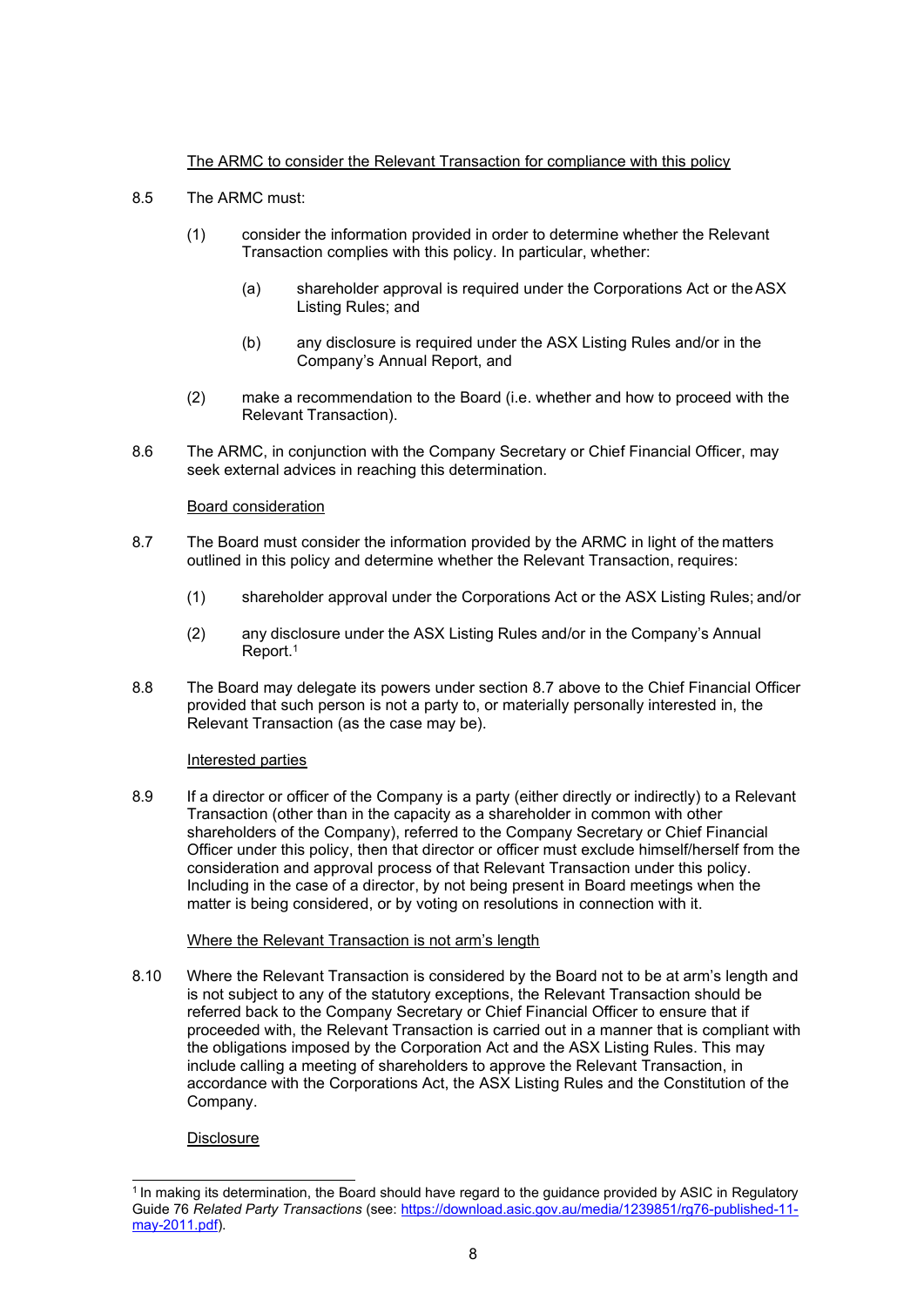## The ARMC to consider the Relevant Transaction for compliance with this policy

- 8.5 The ARMC must:
	- (1) consider the information provided in order to determine whether the Relevant Transaction complies with this policy. In particular, whether:
		- (a) shareholder approval is required under the Corporations Act or theASX Listing Rules; and
		- (b) any disclosure is required under the ASX Listing Rules and/or in the Company's Annual Report, and
	- (2) make a recommendation to the Board (i.e. whether and how to proceed with the Relevant Transaction).
- 8.6 The ARMC, in conjunction with the Company Secretary or Chief Financial Officer, may seek external advices in reaching this determination.

#### Board consideration

- <span id="page-7-0"></span>8.7 The Board must consider the information provided by the ARMC in light of the matters outlined in this policy and determine whether the Relevant Transaction, requires:
	- (1) shareholder approval under the Corporations Act or the ASX Listing Rules; and/or
	- (2) any disclosure under the ASX Listing Rules and/or in the Company's Annual Report.1
- 8.8 The Board may delegate its powers under section 8.7 [above](#page-7-0) to the Chief Financial Officer provided that such person is not a party to, or materially personally interested in, the Relevant Transaction (as the case may be).

### Interested parties

8.9 If a director or officer of the Company is a party (either directly or indirectly) to a Relevant Transaction (other than in the capacity as a shareholder in common with other shareholders of the Company), referred to the Company Secretary or Chief Financial Officer under this policy, then that director or officer must exclude himself/herself from the consideration and approval process of that Relevant Transaction under this policy. Including in the case of a director, by not being present in Board meetings when the matter is being considered, or by voting on resolutions in connection with it.

#### Where the Relevant Transaction is not arm's length

8.10 Where the Relevant Transaction is considered by the Board not to be at arm's length and is not subject to any of the statutory exceptions, the Relevant Transaction should be referred back to the Company Secretary or Chief Financial Officer to ensure that if proceeded with, the Relevant Transaction is carried out in a manner that is compliant with the obligations imposed by the Corporation Act and the ASX Listing Rules. This may include calling a meeting of shareholders to approve the Relevant Transaction, in accordance with the Corporations Act, the ASX Listing Rules and the Constitution of the Company.

**Disclosure** 

<sup>&</sup>lt;sup>1</sup> In making its determination, the Board should have regard to the guidance provided by ASIC in Regulatory Guide 76 *Related Party Transactions* (see: [https://download.asic.gov.au/media/1239851/rg76-published-11](https://download.asic.gov.au/media/1239851/rg76-published-11-may-2011.pdf) [may-2011.pdf\)](https://download.asic.gov.au/media/1239851/rg76-published-11-may-2011.pdf).